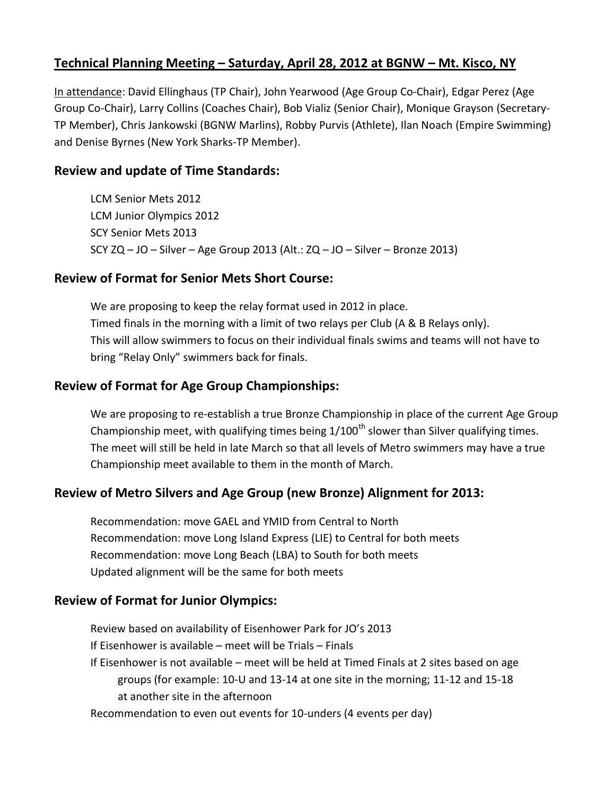### **Technical Planning Meeting – Saturday, April 28, 2012 at BGNW – Mt. Kisco, NY**

In attendance: David Ellinghaus (TP Chair), John Yearwood (Age Group Co-Chair), Edgar Perez (Age Group Co-Chair), Larry Collins (Coaches Chair), Bob Vializ (Senior Chair), Monique Grayson (Secretary-TP Member), Chris Jankowski (BGNW Marlins), Robby Purvis (Athlete), Ilan Noach (Empire Swimming) and Denise Byrnes (New York Sharks-TP Member).

#### **Review and update of Time Standards:**

LCM Senior Mets 2012 LCM Junior Olympics 2012 SCY Senior Mets 2013 SCY ZQ – JO – Silver – Age Group 2013 (Alt.: ZQ – JO – Silver – Bronze 2013)

### **Review of Format for Senior Mets Short Course:**

We are proposing to keep the relay format used in 2012 in place. Timed finals in the morning with a limit of two relays per Club (A & B Relays only). This will allow swimmers to focus on their individual finals swims and teams will not have to bring "Relay Only" swimmers back for finals.

### **Review of Format for Age Group Championships:**

We are proposing to re-establish a true Bronze Championship in place of the current Age Group Championship meet, with qualifying times being  $1/100<sup>th</sup>$  slower than Silver qualifying times. The meet will still be held in late March so that all levels of Metro swimmers may have a true Championship meet available to them in the month of March.

### **Review of Metro Silvers and Age Group (new Bronze) Alignment for 2013:**

Recommendation: move GAEL and YMID from Central to North Recommendation: move Long Island Express (LIE) to Central for both meets Recommendation: move Long Beach (LBA) to South for both meets Updated alignment will be the same for both meets

### **Review of Format for Junior Olympics:**

Review based on availability of Eisenhower Park for JO's 2013 If Eisenhower is available – meet will be Trials – Finals If Eisenhower is not available – meet will be held at Timed Finals at 2 sites based on age groups (for example: 10-U and 13-14 at one site in the morning; 11-12 and 15-18 at another site in the afternoon Recommendation to even out events for 10-unders (4 events per day)